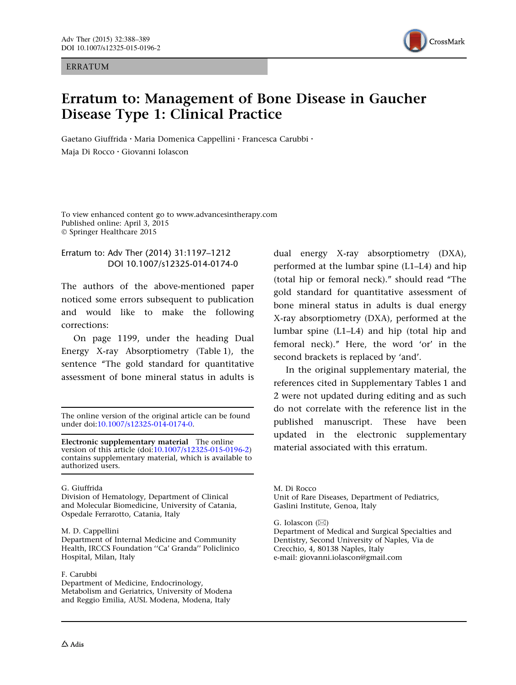ERRATUM



# Erratum to: Management of Bone Disease in Gaucher Disease Type 1: Clinical Practice

Gaetano Giuffrida • Maria Domenica Cappellini • Francesca Carubbi • Maja Di Rocco • Giovanni Iolascon

To view enhanced content go to www.advancesintherapy.com Published online: April 3, 2015 © Springer Healthcare 2015

## Erratum to: Adv Ther (2014) 31:1197–1212 DOI 10.1007/s12325-014-0174-0

The authors of the above-mentioned paper noticed some errors subsequent to publication and would like to make the following corrections:

On page 1199, under the heading Dual Energy X-ray Absorptiometry (Table 1), the sentence "The gold standard for quantitative assessment of bone mineral status in adults is

The online version of the original article can be found under doi[:10.1007/s12325-014-0174-0](http://dx.doi.org/10.1007/s12325-014-0174-0).

Electronic supplementary material The online version of this article (doi[:10.1007/s12325-015-0196-2\)](http://dx.doi.org/10.1007/s12325-015-0196-2) contains supplementary material, which is available to authorized users.

### G. Giuffrida

Division of Hematology, Department of Clinical and Molecular Biomedicine, University of Catania, Ospedale Ferrarotto, Catania, Italy

### M. D. Cappellini

Department of Internal Medicine and Community Health, IRCCS Foundation ''Ca' Granda'' Policlinico Hospital, Milan, Italy

#### F. Carubbi

Department of Medicine, Endocrinology, Metabolism and Geriatrics, University of Modena and Reggio Emilia, AUSL Modena, Modena, Italy

dual energy X-ray absorptiometry (DXA), performed at the lumbar spine (L1–L4) and hip (total hip or femoral neck).'' should read ''The gold standard for quantitative assessment of bone mineral status in adults is dual energy X-ray absorptiometry (DXA), performed at the lumbar spine (L1–L4) and hip (total hip and femoral neck).'' Here, the word 'or' in the second brackets is replaced by 'and'.

In the original supplementary material, the references cited in Supplementary Tables 1 and 2 were not updated during editing and as such do not correlate with the reference list in the published manuscript. These have been updated in the electronic supplementary material associated with this erratum.

M. Di Rocco Unit of Rare Diseases, Department of Pediatrics, Gaslini Institute, Genoa, Italy

G. Iolascon  $(\boxtimes)$ 

Department of Medical and Surgical Specialties and Dentistry, Second University of Naples, Via de Crecchio, 4, 80138 Naples, Italy e-mail: giovanni.iolascon@gmail.com